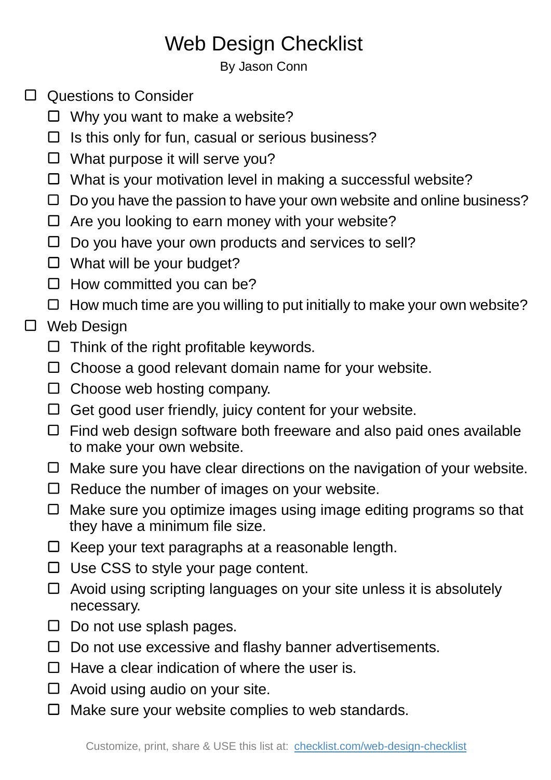## Web Design Checklist

By Jason Conn

- □ Questions to Consider
	- $\Box$  Why you want to make a website?
	- $\Box$  Is this only for fun, casual or serious business?
	- What purpose it will serve you?
	- $\Box$  What is your motivation level in making a successful website?
	- $\Box$  Do you have the passion to have your own website and online business?
	- $\Box$  Are you looking to earn money with your website?
	- $\Box$  Do you have your own products and services to sell?
	- □ What will be your budget?
	- $\Box$  How committed you can be?
	- $\Box$  How much time are you willing to put initially to make your own website?

## □ Web Design

- $\Box$  Think of the right profitable keywords.
- $\Box$  Choose a good relevant domain name for your website.
- $\Box$  Choose web hosting company.
- $\Box$  Get good user friendly, juicy content for your website.
- $\Box$  Find web design software both freeware and also paid ones available to make your own website.
- $\Box$  Make sure you have clear directions on the navigation of your website.
- $\Box$  Reduce the number of images on your website.
- □ Make sure you optimize images using image editing programs so that they have a minimum file size.
- $\Box$  Keep your text paragraphs at a reasonable length.
- $\Box$  Use CSS to style your page content.
- $\Box$  Avoid using scripting languages on your site unless it is absolutely necessary.
- $\Box$  Do not use splash pages.
- $\Box$  Do not use excessive and flashy banner advertisements.
- $\Box$  Have a clear indication of where the user is.
- $\Box$  Avoid using audio on your site.
- $\Box$  Make sure your website complies to web standards.